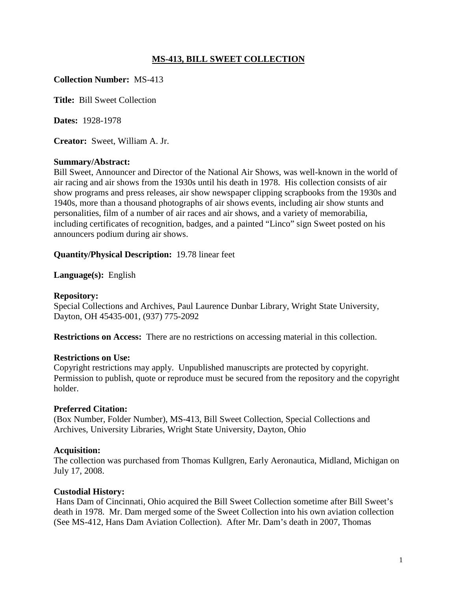## **MS-413, BILL SWEET COLLECTION**

## **Collection Number:** MS-413

**Title:** Bill Sweet Collection

**Dates:** 1928-1978

**Creator:** Sweet, William A. Jr.

## **Summary/Abstract:**

Bill Sweet, Announcer and Director of the National Air Shows, was well-known in the world of air racing and air shows from the 1930s until his death in 1978. His collection consists of air show programs and press releases, air show newspaper clipping scrapbooks from the 1930s and 1940s, more than a thousand photographs of air shows events, including air show stunts and personalities, film of a number of air races and air shows, and a variety of memorabilia, including certificates of recognition, badges, and a painted "Linco" sign Sweet posted on his announcers podium during air shows.

## **Quantity/Physical Description:** 19.78 linear feet

**Language(s):** English

## **Repository:**

Special Collections and Archives, Paul Laurence Dunbar Library, Wright State University, Dayton, OH 45435-001, (937) 775-2092

**Restrictions on Access:** There are no restrictions on accessing material in this collection.

## **Restrictions on Use:**

Copyright restrictions may apply. Unpublished manuscripts are protected by copyright. Permission to publish, quote or reproduce must be secured from the repository and the copyright holder.

## **Preferred Citation:**

(Box Number, Folder Number), MS-413, Bill Sweet Collection, Special Collections and Archives, University Libraries, Wright State University, Dayton, Ohio

## **Acquisition:**

The collection was purchased from Thomas Kullgren, Early Aeronautica, Midland, Michigan on July 17, 2008.

## **Custodial History:**

Hans Dam of Cincinnati, Ohio acquired the Bill Sweet Collection sometime after Bill Sweet's death in 1978. Mr. Dam merged some of the Sweet Collection into his own aviation collection (See MS-412, Hans Dam Aviation Collection). After Mr. Dam's death in 2007, Thomas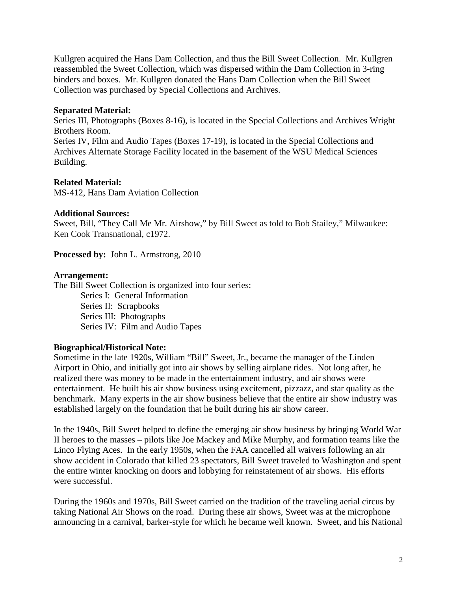Kullgren acquired the Hans Dam Collection, and thus the Bill Sweet Collection. Mr. Kullgren reassembled the Sweet Collection, which was dispersed within the Dam Collection in 3-ring binders and boxes. Mr. Kullgren donated the Hans Dam Collection when the Bill Sweet Collection was purchased by Special Collections and Archives.

## **Separated Material:**

Series III, Photographs (Boxes 8-16), is located in the Special Collections and Archives Wright Brothers Room.

Series IV, Film and Audio Tapes (Boxes 17-19), is located in the Special Collections and Archives Alternate Storage Facility located in the basement of the WSU Medical Sciences Building.

## **Related Material:**

MS-412, Hans Dam Aviation Collection

## **Additional Sources:**

Sweet, Bill, "They Call Me Mr. Airshow," by Bill Sweet as told to Bob Stailey," Milwaukee: Ken Cook Transnational, c1972.

**Processed by:** John L. Armstrong, 2010

## **Arrangement:**

The Bill Sweet Collection is organized into four series:

Series I: General Information Series II: Scrapbooks Series III: Photographs Series IV: Film and Audio Tapes

## **Biographical/Historical Note:**

Sometime in the late 1920s, William "Bill" Sweet, Jr., became the manager of the Linden Airport in Ohio, and initially got into air shows by selling airplane rides. Not long after, he realized there was money to be made in the entertainment industry, and air shows were entertainment. He built his air show business using excitement, pizzazz, and star quality as the benchmark. Many experts in the air show business believe that the entire air show industry was established largely on the foundation that he built during his air show career.

In the 1940s, Bill Sweet helped to define the emerging air show business by bringing World War II heroes to the masses – pilots like Joe Mackey and Mike Murphy, and formation teams like the Linco Flying Aces. In the early 1950s, when the FAA cancelled all waivers following an air show accident in Colorado that killed 23 spectators, Bill Sweet traveled to Washington and spent the entire winter knocking on doors and lobbying for reinstatement of air shows. His efforts were successful.

During the 1960s and 1970s, Bill Sweet carried on the tradition of the traveling aerial circus by taking National Air Shows on the road. During these air shows, Sweet was at the microphone announcing in a carnival, barker-style for which he became well known. Sweet, and his National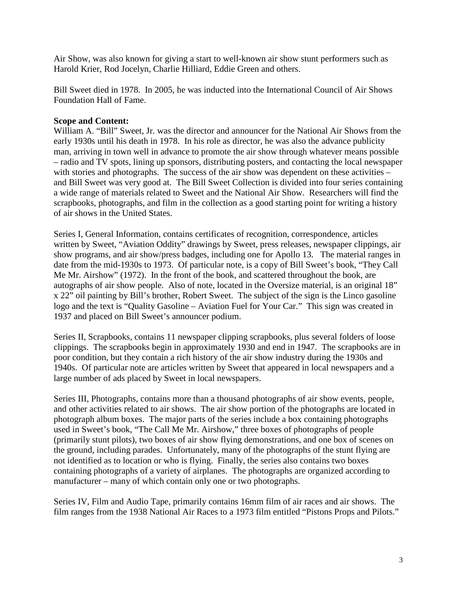Air Show, was also known for giving a start to well-known air show stunt performers such as Harold Krier, Rod Jocelyn, Charlie Hilliard, Eddie Green and others.

Bill Sweet died in 1978. In 2005, he was inducted into the International Council of Air Shows Foundation Hall of Fame.

## **Scope and Content:**

William A. "Bill" Sweet, Jr. was the director and announcer for the National Air Shows from the early 1930s until his death in 1978. In his role as director, he was also the advance publicity man, arriving in town well in advance to promote the air show through whatever means possible – radio and TV spots, lining up sponsors, distributing posters, and contacting the local newspaper with stories and photographs. The success of the air show was dependent on these activities – and Bill Sweet was very good at. The Bill Sweet Collection is divided into four series containing a wide range of materials related to Sweet and the National Air Show. Researchers will find the scrapbooks, photographs, and film in the collection as a good starting point for writing a history of air shows in the United States.

Series I, General Information, contains certificates of recognition, correspondence, articles written by Sweet, "Aviation Oddity" drawings by Sweet, press releases, newspaper clippings, air show programs, and air show/press badges, including one for Apollo 13. The material ranges in date from the mid-1930s to 1973. Of particular note, is a copy of Bill Sweet's book, "They Call Me Mr. Airshow" (1972). In the front of the book, and scattered throughout the book, are autographs of air show people. Also of note, located in the Oversize material, is an original 18" x 22" oil painting by Bill's brother, Robert Sweet. The subject of the sign is the Linco gasoline logo and the text is "Quality Gasoline – Aviation Fuel for Your Car." This sign was created in 1937 and placed on Bill Sweet's announcer podium.

Series II, Scrapbooks, contains 11 newspaper clipping scrapbooks, plus several folders of loose clippings. The scrapbooks begin in approximately 1930 and end in 1947. The scrapbooks are in poor condition, but they contain a rich history of the air show industry during the 1930s and 1940s. Of particular note are articles written by Sweet that appeared in local newspapers and a large number of ads placed by Sweet in local newspapers.

Series III, Photographs, contains more than a thousand photographs of air show events, people, and other activities related to air shows. The air show portion of the photographs are located in photograph album boxes. The major parts of the series include a box containing photographs used in Sweet's book, "The Call Me Mr. Airshow," three boxes of photographs of people (primarily stunt pilots), two boxes of air show flying demonstrations, and one box of scenes on the ground, including parades. Unfortunately, many of the photographs of the stunt flying are not identified as to location or who is flying. Finally, the series also contains two boxes containing photographs of a variety of airplanes. The photographs are organized according to manufacturer – many of which contain only one or two photographs.

Series IV, Film and Audio Tape, primarily contains 16mm film of air races and air shows. The film ranges from the 1938 National Air Races to a 1973 film entitled "Pistons Props and Pilots."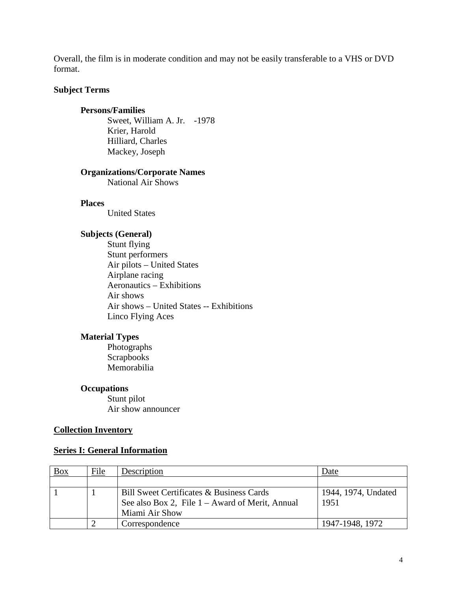Overall, the film is in moderate condition and may not be easily transferable to a VHS or DVD format.

## **Subject Terms**

## **Persons/Families**

Sweet, William A. Jr. -1978 Krier, Harold Hilliard, Charles Mackey, Joseph

## **Organizations/Corporate Names**

National Air Shows

## **Places**

United States

## **Subjects (General)**

Stunt flying Stunt performers Air pilots – United States Airplane racing Aeronautics – Exhibitions Air shows Air shows – United States -- Exhibitions Linco Flying Aces

## **Material Types**

Photographs **Scrapbooks** Memorabilia

## **Occupations**

Stunt pilot Air show announcer

## **Collection Inventory**

## **Series I: General Information**

| $\frac{Box}{\ }$ | File | Description                                       | Date                |
|------------------|------|---------------------------------------------------|---------------------|
|                  |      |                                                   |                     |
|                  |      | Bill Sweet Certificates & Business Cards          | 1944, 1974, Undated |
|                  |      | See also Box 2, File $1 -$ Award of Merit, Annual | 1951                |
|                  |      | Miami Air Show                                    |                     |
|                  |      | Correspondence                                    | 1947-1948, 1972     |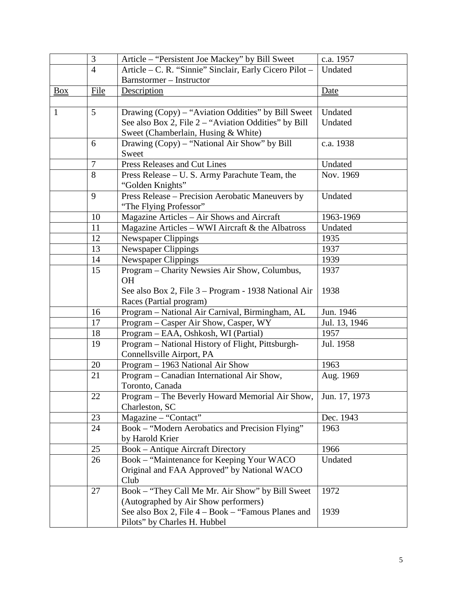|                | 3              | Article – "Persistent Joe Mackey" by Bill Sweet         | c.a. 1957     |
|----------------|----------------|---------------------------------------------------------|---------------|
|                | $\overline{4}$ | Article - C. R. "Sinnie" Sinclair, Early Cicero Pilot - | Undated       |
|                |                | Barnstormer - Instructor                                |               |
| $\frac{Box}{}$ | File           | Description                                             | <u>Date</u>   |
|                |                |                                                         |               |
| 1              | 5              | Drawing (Copy) – "Aviation Oddities" by Bill Sweet      | Undated       |
|                |                | See also Box 2, File 2 – "Aviation Oddities" by Bill    | Undated       |
|                |                | Sweet (Chamberlain, Husing & White)                     |               |
|                | 6              | Drawing (Copy) - "National Air Show" by Bill            | c.a. 1938     |
|                |                | Sweet                                                   |               |
|                | $\tau$         | Press Releases and Cut Lines                            | Undated       |
|                | 8              | Press Release - U. S. Army Parachute Team, the          | Nov. 1969     |
|                |                | "Golden Knights"                                        |               |
|                | 9              | Press Release - Precision Aerobatic Maneuvers by        | Undated       |
|                |                | "The Flying Professor"                                  |               |
|                | 10             | Magazine Articles - Air Shows and Aircraft              | 1963-1969     |
|                | 11             | Magazine Articles - WWI Aircraft & the Albatross        | Undated       |
|                | 12             | <b>Newspaper Clippings</b>                              | 1935          |
|                | 13             | <b>Newspaper Clippings</b>                              | 1937          |
|                | 14             | Newspaper Clippings                                     | 1939          |
|                | 15             | Program – Charity Newsies Air Show, Columbus,           | 1937          |
|                |                | <b>OH</b>                                               |               |
|                |                | See also Box 2, File 3 – Program - 1938 National Air    | 1938          |
|                |                | Races (Partial program)                                 |               |
|                | 16             | Program - National Air Carnival, Birmingham, AL         | Jun. 1946     |
|                | 17             | Program – Casper Air Show, Casper, WY                   | Jul. 13, 1946 |
|                | 18             | Program - EAA, Oshkosh, WI (Partial)                    | 1957          |
|                | 19             | Program - National History of Flight, Pittsburgh-       | Jul. 1958     |
|                |                | Connellsville Airport, PA                               |               |
|                | 20             | Program - 1963 National Air Show                        | 1963          |
|                | 21             | Program – Canadian International Air Show,              | Aug. 1969     |
|                |                | Toronto, Canada                                         |               |
|                | 22             | Program - The Beverly Howard Memorial Air Show,         | Jun. 17, 1973 |
|                |                | Charleston, SC                                          |               |
|                | 23             | Magazine - "Contact"                                    | Dec. 1943     |
|                | 24             | Book - "Modern Aerobatics and Precision Flying"         | 1963          |
|                |                | by Harold Krier                                         |               |
|                | 25             | <b>Book - Antique Aircraft Directory</b>                | 1966          |
|                | 26             | Book - "Maintenance for Keeping Your WACO               | Undated       |
|                |                | Original and FAA Approved" by National WACO             |               |
|                |                | Club                                                    |               |
|                | 27             | Book – "They Call Me Mr. Air Show" by Bill Sweet        | 1972          |
|                |                | (Autographed by Air Show performers)                    |               |
|                |                | See also Box 2, File 4 – Book – "Famous Planes and      | 1939          |
|                |                | Pilots" by Charles H. Hubbel                            |               |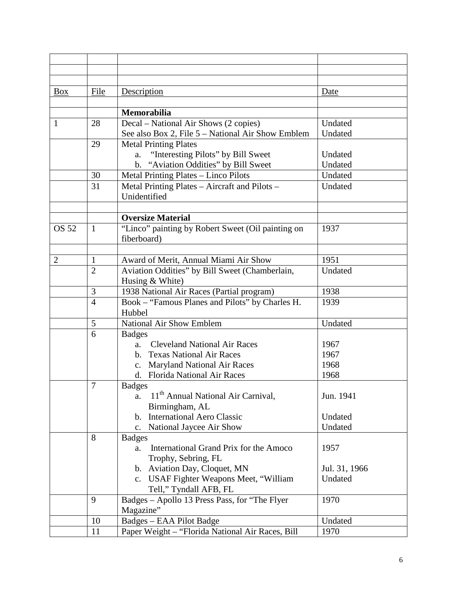| <b>Box</b>   | File           | Description                                                              | Date          |
|--------------|----------------|--------------------------------------------------------------------------|---------------|
|              |                |                                                                          |               |
|              |                | <b>Memorabilia</b>                                                       |               |
| 1            | 28             | Decal - National Air Shows (2 copies)                                    | Undated       |
|              |                | See also Box 2, File 5 – National Air Show Emblem                        | Undated       |
|              | 29             | <b>Metal Printing Plates</b>                                             |               |
|              |                | "Interesting Pilots" by Bill Sweet<br>a.                                 | Undated       |
|              |                | b. "Aviation Oddities" by Bill Sweet                                     | Undated       |
|              | 30             | Metal Printing Plates - Linco Pilots                                     | Undated       |
|              | 31             | Metal Printing Plates - Aircraft and Pilots -                            | Undated       |
|              |                | Unidentified                                                             |               |
|              |                |                                                                          |               |
|              |                | <b>Oversize Material</b>                                                 |               |
| <b>OS 52</b> | $\mathbf{1}$   | "Linco" painting by Robert Sweet (Oil painting on                        | 1937          |
|              |                | fiberboard)                                                              |               |
|              |                |                                                                          |               |
| 2            | 1              | Award of Merit, Annual Miami Air Show                                    | 1951          |
|              | $\overline{2}$ | Aviation Oddities" by Bill Sweet (Chamberlain,                           | Undated       |
|              |                | Husing & White)                                                          |               |
|              | 3              | 1938 National Air Races (Partial program)                                | 1938          |
|              | $\overline{4}$ | Book - "Famous Planes and Pilots" by Charles H.                          | 1939          |
|              |                | Hubbel                                                                   |               |
|              | 5              | National Air Show Emblem                                                 | Undated       |
|              | 6              | <b>Badges</b>                                                            |               |
|              |                | <b>Cleveland National Air Races</b><br>a.<br>b. Texas National Air Races | 1967<br>1967  |
|              |                | c. Maryland National Air Races                                           | 1968          |
|              |                | d. Florida National Air Races                                            | 1968          |
|              | $\overline{7}$ | <b>Badges</b>                                                            |               |
|              |                | 11 <sup>th</sup> Annual National Air Carnival,<br>a.                     | Jun. 1941     |
|              |                | Birmingham, AL                                                           |               |
|              |                | <b>International Aero Classic</b><br>$\mathbf{b}$ .                      | Undated       |
|              |                | National Jaycee Air Show<br>c.                                           | Undated       |
|              | 8              | <b>Badges</b>                                                            |               |
|              |                | International Grand Prix for the Amoco<br>a.                             | 1957          |
|              |                | Trophy, Sebring, FL                                                      |               |
|              |                | b. Aviation Day, Cloquet, MN                                             | Jul. 31, 1966 |
|              |                | c. USAF Fighter Weapons Meet, "William                                   | Undated       |
|              |                | Tell," Tyndall AFB, FL                                                   |               |
|              | 9              | Badges - Apollo 13 Press Pass, for "The Flyer                            | 1970          |
|              |                | Magazine"                                                                |               |
|              | 10             | Badges - EAA Pilot Badge                                                 | Undated       |
|              | 11             | Paper Weight - "Florida National Air Races, Bill                         | 1970          |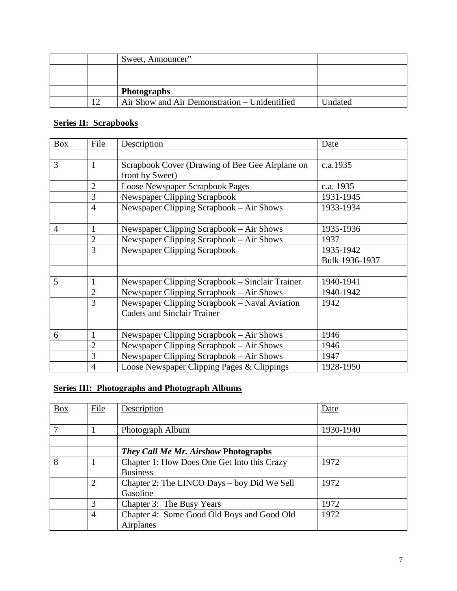|     | Sweet, Announcer"                             |         |
|-----|-----------------------------------------------|---------|
|     |                                               |         |
|     |                                               |         |
|     | <b>Photographs</b>                            |         |
| ר ו | Air Show and Air Demonstration – Unidentified | Undated |

## **Series II: Scrapbooks**

| <b>Box</b>     | File           | Description                                     | Date           |
|----------------|----------------|-------------------------------------------------|----------------|
|                |                |                                                 |                |
| 3              | $\mathbf{1}$   | Scrapbook Cover (Drawing of Bee Gee Airplane on | c.a.1935       |
|                |                | front by Sweet)                                 |                |
|                | $\overline{2}$ | <b>Loose Newspaper Scrapbook Pages</b>          | c.a. 1935      |
|                | 3              | <b>Newspaper Clipping Scrapbook</b>             | 1931-1945      |
|                | $\overline{4}$ | Newspaper Clipping Scrapbook - Air Shows        | 1933-1934      |
|                |                |                                                 |                |
| $\overline{4}$ | $\mathbf{1}$   | Newspaper Clipping Scrapbook – Air Shows        | 1935-1936      |
|                | $\overline{2}$ | Newspaper Clipping Scrapbook - Air Shows        | 1937           |
|                | 3              | <b>Newspaper Clipping Scrapbook</b>             | 1935-1942      |
|                |                |                                                 | Bulk 1936-1937 |
|                |                |                                                 |                |
| 5              | $\mathbf{1}$   | Newspaper Clipping Scrapbook – Sinclair Trainer | 1940-1941      |
|                | $\overline{2}$ | Newspaper Clipping Scrapbook - Air Shows        | 1940-1942      |
|                | 3              | Newspaper Clipping Scrapbook – Naval Aviation   | 1942           |
|                |                | <b>Cadets and Sinclair Trainer</b>              |                |
|                |                |                                                 |                |
| 6              | $\mathbf{1}$   | Newspaper Clipping Scrapbook – Air Shows        | 1946           |
|                | $\overline{2}$ | Newspaper Clipping Scrapbook - Air Shows        | 1946           |
|                | 3              | Newspaper Clipping Scrapbook - Air Shows        | 1947           |
|                | $\overline{4}$ | Loose Newspaper Clipping Pages & Clippings      | 1928-1950      |

## **Series III: Photographs and Photograph Albums**

| <b>Box</b> | File           | Description                                 | Date      |
|------------|----------------|---------------------------------------------|-----------|
|            |                |                                             |           |
|            |                | Photograph Album                            | 1930-1940 |
|            |                |                                             |           |
|            |                | <b>They Call Me Mr. Airshow Photographs</b> |           |
| 8          |                | Chapter 1: How Does One Get Into this Crazy | 1972      |
|            |                | <b>Business</b>                             |           |
|            | $\overline{2}$ | Chapter 2: The LINCO Days – boy Did We Sell | 1972      |
|            |                | Gasoline                                    |           |
|            | 3              | Chapter 3: The Busy Years                   | 1972      |
|            | $\overline{4}$ | Chapter 4: Some Good Old Boys and Good Old  | 1972      |
|            |                | Airplanes                                   |           |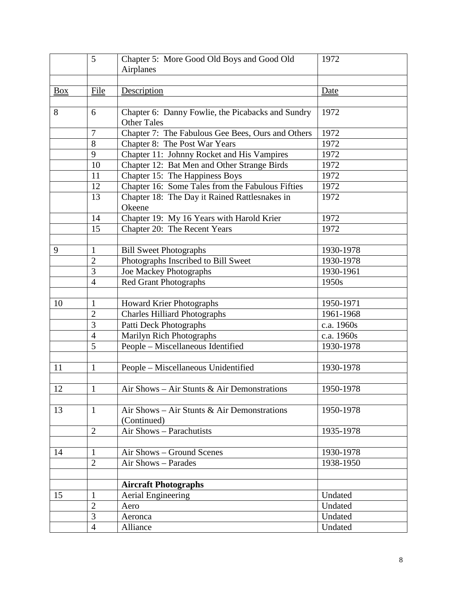|            | 5              | Chapter 5: More Good Old Boys and Good Old<br>Airplanes                 | 1972       |
|------------|----------------|-------------------------------------------------------------------------|------------|
|            |                |                                                                         |            |
| <b>Box</b> | File           | Description                                                             | Date       |
|            |                |                                                                         |            |
| 8          | 6              | Chapter 6: Danny Fowlie, the Picabacks and Sundry<br><b>Other Tales</b> | 1972       |
|            | 7              | Chapter 7: The Fabulous Gee Bees, Ours and Others                       | 1972       |
|            | 8              | Chapter 8: The Post War Years                                           | 1972       |
|            | 9              | Chapter 11: Johnny Rocket and His Vampires                              | 1972       |
|            | 10             | Chapter 12: Bat Men and Other Strange Birds                             | 1972       |
|            | 11             | Chapter 15: The Happiness Boys                                          | 1972       |
|            | 12             | Chapter 16: Some Tales from the Fabulous Fifties                        | 1972       |
|            | 13             | Chapter 18: The Day it Rained Rattlesnakes in<br>Okeene                 | 1972       |
|            | 14             | Chapter 19: My 16 Years with Harold Krier                               | 1972       |
|            | 15             | Chapter 20: The Recent Years                                            | 1972       |
|            |                |                                                                         |            |
| 9          | $\mathbf{1}$   | <b>Bill Sweet Photographs</b>                                           | 1930-1978  |
|            | $\overline{2}$ | Photographs Inscribed to Bill Sweet                                     | 1930-1978  |
|            | 3              | Joe Mackey Photographs                                                  | 1930-1961  |
|            | $\overline{4}$ | <b>Red Grant Photographs</b>                                            | 1950s      |
|            |                |                                                                         |            |
| 10         | $\mathbf{1}$   | Howard Krier Photographs                                                | 1950-1971  |
|            | $\overline{2}$ | <b>Charles Hilliard Photographs</b>                                     | 1961-1968  |
|            | 3              | Patti Deck Photographs                                                  | c.a. 1960s |
|            | $\overline{4}$ | Marilyn Rich Photographs                                                | c.a. 1960s |
|            | 5              | People - Miscellaneous Identified                                       | 1930-1978  |
|            |                |                                                                         |            |
| 11         | $\mathbf{1}$   | People - Miscellaneous Unidentified                                     | 1930-1978  |
| 12         | $\mathbf{1}$   | Air Shows - Air Stunts & Air Demonstrations                             | 1950-1978  |
|            |                |                                                                         |            |
| 13         | $\mathbf{1}$   | Air Shows – Air Stunts & Air Demonstrations<br>(Continued)              | 1950-1978  |
|            | $\overline{2}$ | Air Shows - Parachutists                                                | 1935-1978  |
|            |                |                                                                         |            |
| 14         | 1              | Air Shows - Ground Scenes                                               | 1930-1978  |
|            | $\overline{2}$ | Air Shows - Parades                                                     | 1938-1950  |
|            |                |                                                                         |            |
|            |                | <b>Aircraft Photographs</b>                                             |            |
| 15         | $\mathbf{1}$   | Aerial Engineering                                                      | Undated    |
|            | $\overline{2}$ | Aero                                                                    | Undated    |
|            | 3              | Aeronca                                                                 | Undated    |
|            | $\overline{4}$ | Alliance                                                                | Undated    |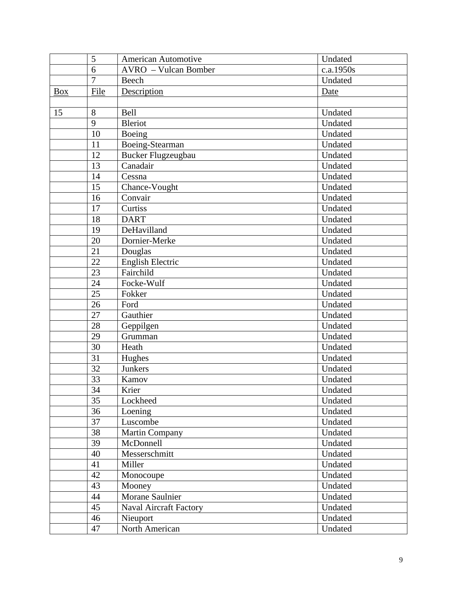|            | 5              | American Automotive           | Undated   |
|------------|----------------|-------------------------------|-----------|
|            | 6              | AVRO - Vulcan Bomber          | c.a.1950s |
|            | $\overline{7}$ | Beech                         | Undated   |
| <b>Box</b> | File           | Description                   | Date      |
|            |                |                               |           |
| 15         | 8              | <b>Bell</b>                   | Undated   |
|            | 9              | <b>Bleriot</b>                | Undated   |
|            | 10             | Boeing                        | Undated   |
|            | 11             | Boeing-Stearman               | Undated   |
|            | 12             | Bucker Flugzeugbau            | Undated   |
|            | 13             | Canadair                      | Undated   |
|            | 14             | Cessna                        | Undated   |
|            | 15             | Chance-Vought                 | Undated   |
|            | 16             | Convair                       | Undated   |
|            | 17             | Curtiss                       | Undated   |
|            | 18             | <b>DART</b>                   | Undated   |
|            | 19             | DeHavilland                   | Undated   |
|            | 20             | Dornier-Merke                 | Undated   |
|            | 21             | Douglas                       | Undated   |
|            | 22             | <b>English Electric</b>       | Undated   |
|            | 23             | Fairchild                     | Undated   |
|            | 24             | Focke-Wulf                    | Undated   |
|            | 25             | Fokker                        | Undated   |
|            | 26             | Ford                          | Undated   |
|            | 27             | Gauthier                      | Undated   |
|            | 28             | Geppilgen                     | Undated   |
|            | 29             | Grumman                       | Undated   |
|            | 30             | Heath                         | Undated   |
|            | 31             | Hughes                        | Undated   |
|            | 32             | Junkers                       | Undated   |
|            | 33             | Kamov                         | Undated   |
|            | 34             | Krier                         | Undated   |
|            | 35             | Lockheed                      | Undated   |
|            | 36             | Loening                       | Undated   |
|            | 37             | Luscombe                      | Undated   |
|            | 38             | Martin Company                | Undated   |
|            | 39             | McDonnell                     | Undated   |
|            | 40             | Messerschmitt                 | Undated   |
|            | 41             | Miller                        | Undated   |
|            | 42             | Monocoupe                     | Undated   |
|            | 43             | Mooney                        | Undated   |
|            | 44             | Morane Saulnier               | Undated   |
|            | 45             | <b>Naval Aircraft Factory</b> | Undated   |
|            | 46             | Nieuport                      | Undated   |
|            | 47             | North American                | Undated   |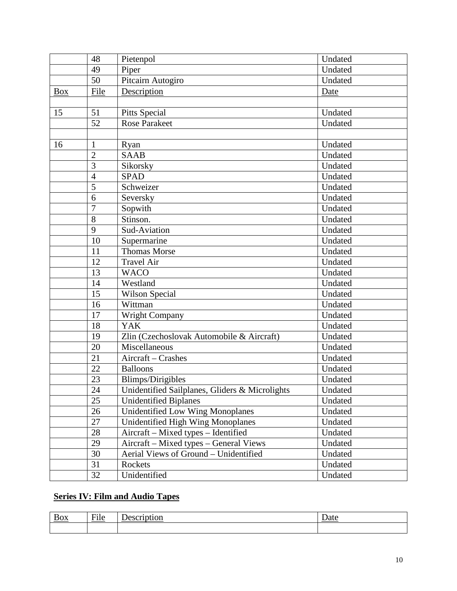|            | 48             | Pietenpol                                      | Undated |
|------------|----------------|------------------------------------------------|---------|
|            | 49             | Piper                                          | Undated |
|            | 50             | Pitcairn Autogiro                              | Undated |
| <b>Box</b> | File           | Description                                    | Date    |
|            |                |                                                |         |
| 15         | 51             | <b>Pitts Special</b>                           | Undated |
|            | 52             | <b>Rose Parakeet</b>                           | Undated |
|            |                |                                                |         |
| 16         | $\mathbf{1}$   | Ryan                                           | Undated |
|            | $\overline{2}$ | <b>SAAB</b>                                    | Undated |
|            | 3              | Sikorsky                                       | Undated |
|            | $\overline{4}$ | <b>SPAD</b>                                    | Undated |
|            | 5              | Schweizer                                      | Undated |
|            | 6              | Seversky                                       | Undated |
|            | $\overline{7}$ | Sopwith                                        | Undated |
|            | 8              | Stinson.                                       | Undated |
|            | 9              | Sud-Aviation                                   | Undated |
|            | 10             | Supermarine                                    | Undated |
|            | 11             | <b>Thomas Morse</b>                            | Undated |
|            | 12             | <b>Travel Air</b>                              | Undated |
|            | 13             | <b>WACO</b>                                    | Undated |
|            | 14             | Westland                                       | Undated |
|            | 15             | Wilson Special                                 | Undated |
|            | 16             | Wittman                                        | Undated |
|            | 17             | <b>Wright Company</b>                          | Undated |
|            | 18             | <b>YAK</b>                                     | Undated |
|            | 19             | Zlin (Czechoslovak Automobile & Aircraft)      | Undated |
|            | 20             | Miscellaneous                                  | Undated |
|            | 21             | Aircraft - Crashes                             | Undated |
|            | 22             | <b>Balloons</b>                                | Undated |
|            | 23             | Blimps/Dirigibles                              | Undated |
|            | 24             | Unidentified Sailplanes, Gliders & Microlights | Undated |
|            | 25             | <b>Unidentified Biplanes</b>                   | Undated |
|            | 26             | Unidentified Low Wing Monoplanes               | Undated |
|            | 27             | <b>Unidentified High Wing Monoplanes</b>       | Undated |
|            | 28             | Aircraft - Mixed types - Identified            | Undated |
|            | 29             | Aircraft - Mixed types - General Views         | Undated |
|            | 30             | Aerial Views of Ground - Unidentified          | Undated |
|            | 31             | Rockets                                        | Undated |
|            | 32             | Unidentified                                   | Undated |

# **Series IV: Film and Audio Tapes**

| $\sim$ $\sim$                          | $\sim$ | $-1$ |
|----------------------------------------|--------|------|
| $\underline{\text{D}\text{O}\text{X}}$ |        | uu   |
|                                        |        |      |